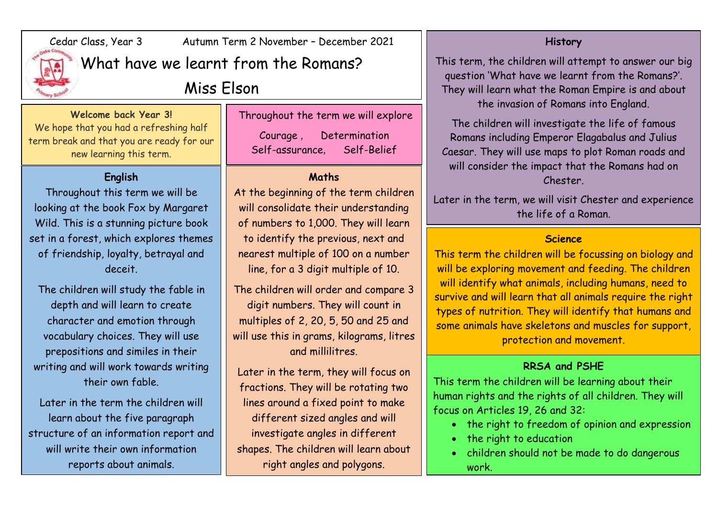

## Cedar Class, Year 3 Autumn Term 2 November – December 2021

What have we learnt from the Romans?

Miss Elson

#### **Welcome back Year 3!**

We hope that you had a refreshing half term break and that you are ready for our new learning this term.

### **English**

Throughout this term we will be looking at the book Fox by Margaret Wild. This is a stunning picture book set in a forest, which explores themes of friendship, loyalty, betrayal and deceit.

The children will study the fable in depth and will learn to create character and emotion through vocabulary choices. They will use prepositions and similes in their writing and will work towards writing their own fable.

Later in the term the children will learn about the five paragraph structure of an information report and will write their own information reports about animals.

Throughout the term we will explore Courage , Determination

Self-assurance, Self-Belief

#### **Maths**

At the beginning of the term children will consolidate their understanding of numbers to 1,000. They will learn to identify the previous, next and nearest multiple of 100 on a number line, for a 3 digit multiple of 10.

The children will order and compare 3 digit numbers. They will count in multiples of 2, 20, 5, 50 and 25 and will use this in grams, kilograms, litres and millilitres.

Later in the term, they will focus on fractions. They will be rotating two lines around a fixed point to make different sized angles and will investigate angles in different shapes. The children will learn about right angles and polygons.

#### **History**

This term, the children will attempt to answer our big question 'What have we learnt from the Romans?'. They will learn what the Roman Empire is and about the invasion of Romans into England.

The children will investigate the life of famous Romans including Emperor Elagabalus and Julius Caesar. They will use maps to plot Roman roads and will consider the impact that the Romans had on Chester.

Later in the term, we will visit Chester and experience the life of a Roman.

#### **Science**

This term the children will be focussing on biology and will be exploring movement and feeding. The children will identify what animals, including humans, need to survive and will learn that all animals require the right types of nutrition. They will identify that humans and some animals have skeletons and muscles for support, protection and movement.

#### **RRSA and PSHE**

This term the children will be learning about their human rights and the rights of all children. They will focus on Articles 19, 26 and 32:

- the right to freedom of opinion and expression
- the right to education
- children should not be made to do dangerous work.